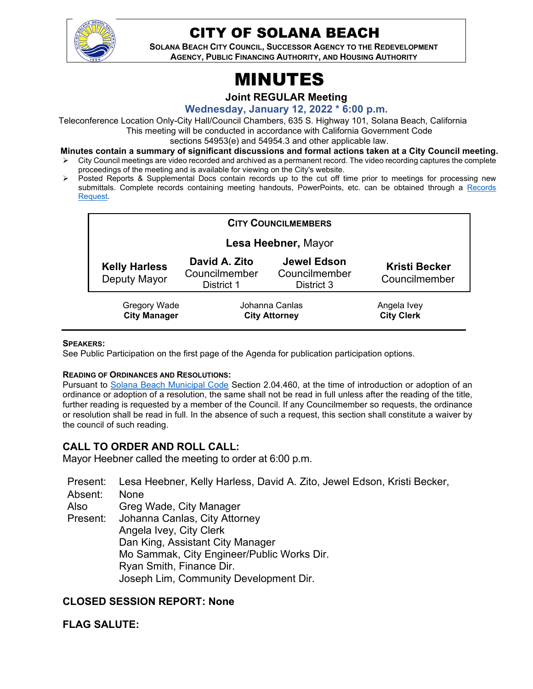

# CITY OF SOLANA BEACH

**SOLANA BEACH CITY COUNCIL, SUCCESSOR AGENCY TO THE REDEVELOPMENT AGENCY, PUBLIC FINANCING AUTHORITY, AND HOUSING AUTHORITY** 

# MINUTES

**Joint REGULAR Meeting**

**Wednesday, January 12, 2022 \* 6:00 p.m.**

Teleconference Location Only-City Hall/Council Chambers, 635 S. Highway 101, Solana Beach, California This meeting will be conducted in accordance with California Government Code

sections 54953(e) and 54954.3 and other applicable law.

- **Minutes contain a summary of significant discussions and formal actions taken at a City Council meeting.**
- City Council meetings are video recorded and archived as a permanent record. The video recording captures the complete proceedings of the meeting and is available for viewing on the City's website.
- Posted Reports & Supplemental Docs contain records up to the cut off time prior to meetings for processing new submittals. Complete records containing meeting handouts, PowerPoints, etc. can be obtained through a Records [Request.](http://www.ci.solana-beach.ca.us/index.asp?SEC=F5D45D10-70CE-4291-A27C-7BD633FC6742&Type=B_BASIC)

| <b>CITY COUNCILMEMBERS</b>           |                                              |                                                   |                                       |
|--------------------------------------|----------------------------------------------|---------------------------------------------------|---------------------------------------|
| Lesa Heebner, Mayor                  |                                              |                                                   |                                       |
| <b>Kelly Harless</b><br>Deputy Mayor | David A. Zito<br>Councilmember<br>District 1 | <b>Jewel Edson</b><br>Councilmember<br>District 3 | <b>Kristi Becker</b><br>Councilmember |
| Gregory Wade<br><b>City Manager</b>  | Johanna Canlas<br><b>City Attorney</b>       |                                                   | Angela Ivey<br><b>City Clerk</b>      |

#### **SPEAKERS:**

See Public Participation on the first page of the Agenda for publication participation options.

#### **READING OF ORDINANCES AND RESOLUTIONS:**

Pursuant to [Solana Beach Municipal Code](https://www.codepublishing.com/CA/SolanaBeach/) Section 2.04.460, at the time of introduction or adoption of an ordinance or adoption of a resolution, the same shall not be read in full unless after the reading of the title, further reading is requested by a member of the Council. If any Councilmember so requests, the ordinance or resolution shall be read in full. In the absence of such a request, this section shall constitute a waiver by the council of such reading.

# **CALL TO ORDER AND ROLL CALL:**

Mayor Heebner called the meeting to order at 6:00 p.m.

Present: Lesa Heebner, Kelly Harless, David A. Zito, Jewel Edson, Kristi Becker, Absent: None Also Present: Greg Wade, City Manager Johanna Canlas, City Attorney Angela Ivey, City Clerk Dan King, Assistant City Manager Mo Sammak, City Engineer/Public Works Dir. Ryan Smith, Finance Dir. Joseph Lim, Community Development Dir.

# **CLOSED SESSION REPORT: None**

**FLAG SALUTE:**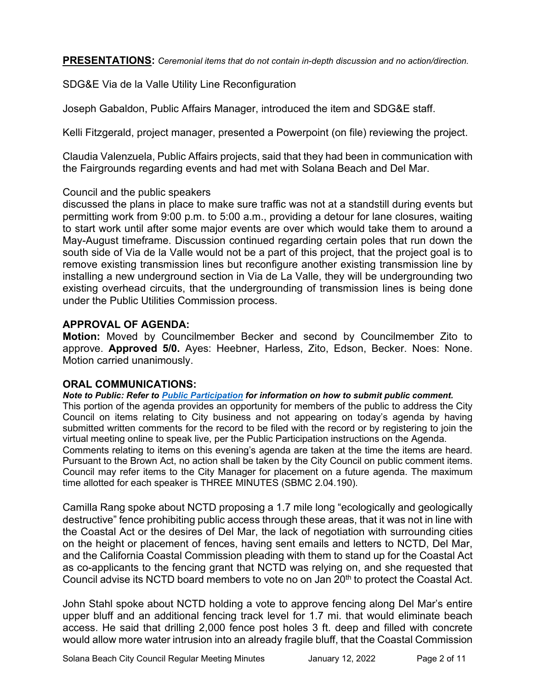**PRESENTATIONS:** *Ceremonial items that do not contain in-depth discussion and no action/direction.* 

SDG&E Via de la Valle Utility Line Reconfiguration

Joseph Gabaldon, Public Affairs Manager, introduced the item and SDG&E staff.

Kelli Fitzgerald, project manager, presented a Powerpoint (on file) reviewing the project.

Claudia Valenzuela, Public Affairs projects, said that they had been in communication with the Fairgrounds regarding events and had met with Solana Beach and Del Mar.

#### Council and the public speakers

discussed the plans in place to make sure traffic was not at a standstill during events but permitting work from 9:00 p.m. to 5:00 a.m., providing a detour for lane closures, waiting to start work until after some major events are over which would take them to around a May-August timeframe. Discussion continued regarding certain poles that run down the south side of Via de la Valle would not be a part of this project, that the project goal is to remove existing transmission lines but reconfigure another existing transmission line by installing a new underground section in Via de La Valle, they will be undergrounding two existing overhead circuits, that the undergrounding of transmission lines is being done under the Public Utilities Commission process.

#### **APPROVAL OF AGENDA:**

**Motion:** Moved by Councilmember Becker and second by Councilmember Zito to approve. **Approved 5/0.** Ayes: Heebner, Harless, Zito, Edson, Becker. Noes: None. Motion carried unanimously.

# **ORAL COMMUNICATIONS:**

*Note to Public: Refer to Public Participation for information on how to submit public comment.*  This portion of the agenda provides an opportunity for members of the public to address the City Council on items relating to City business and not appearing on today's agenda by having submitted written comments for the record to be filed with the record or by registering to join the virtual meeting online to speak live, per the Public Participation instructions on the Agenda. Comments relating to items on this evening's agenda are taken at the time the items are heard. Pursuant to the Brown Act, no action shall be taken by the City Council on public comment items. Council may refer items to the City Manager for placement on a future agenda. The maximum time allotted for each speaker is THREE MINUTES (SBMC 2.04.190).

Camilla Rang spoke about NCTD proposing a 1.7 mile long "ecologically and geologically destructive" fence prohibiting public access through these areas, that it was not in line with the Coastal Act or the desires of Del Mar, the lack of negotiation with surrounding cities on the height or placement of fences, having sent emails and letters to NCTD, Del Mar, and the California Coastal Commission pleading with them to stand up for the Coastal Act as co-applicants to the fencing grant that NCTD was relying on, and she requested that Council advise its NCTD board members to vote no on Jan 20<sup>th</sup> to protect the Coastal Act.

John Stahl spoke about NCTD holding a vote to approve fencing along Del Mar's entire upper bluff and an additional fencing track level for 1.7 mi. that would eliminate beach access. He said that drilling 2,000 fence post holes 3 ft. deep and filled with concrete would allow more water intrusion into an already fragile bluff, that the Coastal Commission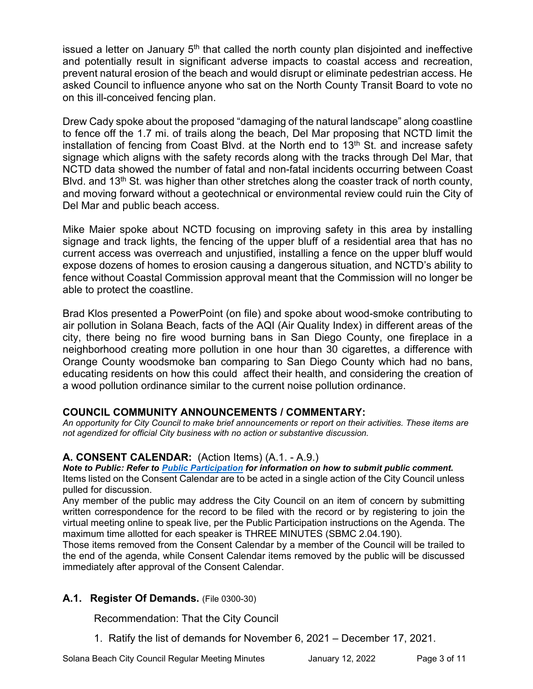issued a letter on January  $5<sup>th</sup>$  that called the north county plan disjointed and ineffective and potentially result in significant adverse impacts to coastal access and recreation, prevent natural erosion of the beach and would disrupt or eliminate pedestrian access. He asked Council to influence anyone who sat on the North County Transit Board to vote no on this ill-conceived fencing plan.

Drew Cady spoke about the proposed "damaging of the natural landscape" along coastline to fence off the 1.7 mi. of trails along the beach, Del Mar proposing that NCTD limit the installation of fencing from Coast Blvd. at the North end to  $13<sup>th</sup>$  St. and increase safety signage which aligns with the safety records along with the tracks through Del Mar, that NCTD data showed the number of fatal and non-fatal incidents occurring between Coast Blvd. and 13<sup>th</sup> St. was higher than other stretches along the coaster track of north county, and moving forward without a geotechnical or environmental review could ruin the City of Del Mar and public beach access.

Mike Maier spoke about NCTD focusing on improving safety in this area by installing signage and track lights, the fencing of the upper bluff of a residential area that has no current access was overreach and unjustified, installing a fence on the upper bluff would expose dozens of homes to erosion causing a dangerous situation, and NCTD's ability to fence without Coastal Commission approval meant that the Commission will no longer be able to protect the coastline.

Brad Klos presented a PowerPoint (on file) and spoke about wood-smoke contributing to air pollution in Solana Beach, facts of the AQI (Air Quality Index) in different areas of the city, there being no fire wood burning bans in San Diego County, one fireplace in a neighborhood creating more pollution in one hour than 30 cigarettes, a difference with Orange County woodsmoke ban comparing to San Diego County which had no bans, educating residents on how this could affect their health, and considering the creation of a wood pollution ordinance similar to the current noise pollution ordinance.

# **COUNCIL COMMUNITY ANNOUNCEMENTS / COMMENTARY:**

*An opportunity for City Council to make brief announcements or report on their activities. These items are not agendized for official City business with no action or substantive discussion.* 

# **A. CONSENT CALENDAR:** (Action Items) (A.1. - A.9.)

*Note to Public: Refer to Public Participation for information on how to submit public comment.* 

Items listed on the Consent Calendar are to be acted in a single action of the City Council unless pulled for discussion.

Any member of the public may address the City Council on an item of concern by submitting written correspondence for the record to be filed with the record or by registering to join the virtual meeting online to speak live, per the Public Participation instructions on the Agenda. The maximum time allotted for each speaker is THREE MINUTES (SBMC 2.04.190).

Those items removed from the Consent Calendar by a member of the Council will be trailed to the end of the agenda, while Consent Calendar items removed by the public will be discussed immediately after approval of the Consent Calendar.

# **A.1. Register Of Demands.** (File 0300-30)

Recommendation: That the City Council

1. Ratify the list of demands for November 6, 2021 – December 17, 2021.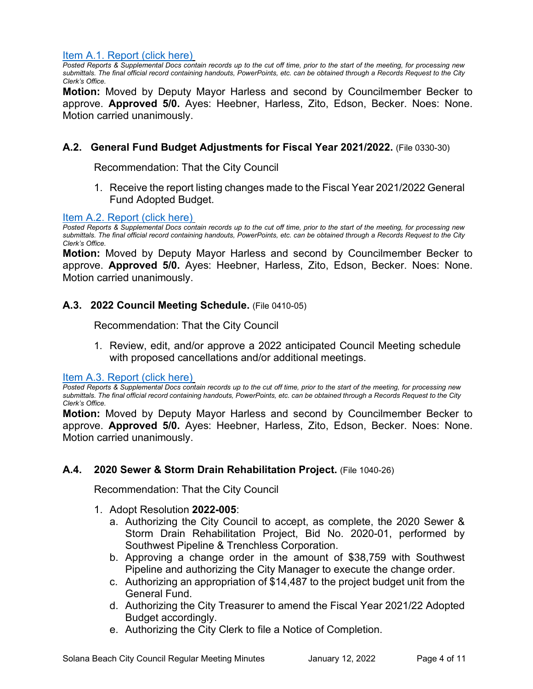#### [Item A.1. Report \(click here\)](https://solanabeach.govoffice3.com/vertical/Sites/%7B840804C2-F869-4904-9AE3-720581350CE7%7D/uploads/Item_A.1._Report_(click_here)_01-12-22_-_O.pdf)

*Posted Reports & Supplemental Docs contain records up to the cut off time, prior to the start of the meeting, for processing new submittals. The final official record containing handouts, PowerPoints, etc. can be obtained through a Records Request to the City Clerk's Office.*

**Motion:** Moved by Deputy Mayor Harless and second by Councilmember Becker to approve. **Approved 5/0.** Ayes: Heebner, Harless, Zito, Edson, Becker. Noes: None. Motion carried unanimously.

#### **A.2. General Fund Budget Adjustments for Fiscal Year 2021/2022.** (File 0330-30)

Recommendation: That the City Council

1. Receive the report listing changes made to the Fiscal Year 2021/2022 General Fund Adopted Budget.

#### [Item A.2. Report \(click here\)](https://solanabeach.govoffice3.com/vertical/Sites/%7B840804C2-F869-4904-9AE3-720581350CE7%7D/uploads/Item_A.2._Report_(click_here)_01-12-22_-_O.pdf)

*Posted Reports & Supplemental Docs contain records up to the cut off time, prior to the start of the meeting, for processing new submittals. The final official record containing handouts, PowerPoints, etc. can be obtained through a Records Request to the City Clerk's Office.*

**Motion:** Moved by Deputy Mayor Harless and second by Councilmember Becker to approve. **Approved 5/0.** Ayes: Heebner, Harless, Zito, Edson, Becker. Noes: None. Motion carried unanimously.

#### A.3. 2022 Council Meeting Schedule. (File 0410-05)

Recommendation: That the City Council

1. Review, edit, and/or approve a 2022 anticipated Council Meeting schedule with proposed cancellations and/or additional meetings.

[Item A.3. Report \(click here\)](https://solanabeach.govoffice3.com/vertical/Sites/%7B840804C2-F869-4904-9AE3-720581350CE7%7D/uploads/Item_A.3._Report_(click_here)_01-12-22_-_O.pdf)

*Posted Reports & Supplemental Docs contain records up to the cut off time, prior to the start of the meeting, for processing new submittals. The final official record containing handouts, PowerPoints, etc. can be obtained through a Records Request to the City Clerk's Office.*

**Motion:** Moved by Deputy Mayor Harless and second by Councilmember Becker to approve. **Approved 5/0.** Ayes: Heebner, Harless, Zito, Edson, Becker. Noes: None. Motion carried unanimously.

#### **A.4. 2020 Sewer & Storm Drain Rehabilitation Project.** (File 1040-26)

Recommendation: That the City Council

- 1. Adopt Resolution **2022-005**:
	- a. Authorizing the City Council to accept, as complete, the 2020 Sewer & Storm Drain Rehabilitation Project, Bid No. 2020-01, performed by Southwest Pipeline & Trenchless Corporation.
	- b. Approving a change order in the amount of \$38,759 with Southwest Pipeline and authorizing the City Manager to execute the change order.
	- c. Authorizing an appropriation of \$14,487 to the project budget unit from the General Fund.
	- d. Authorizing the City Treasurer to amend the Fiscal Year 2021/22 Adopted Budget accordingly.
	- e. Authorizing the City Clerk to file a Notice of Completion.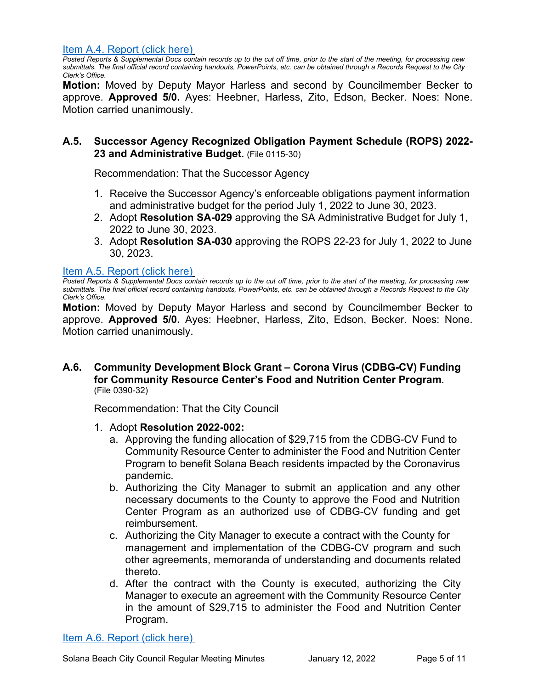[Item A.4. Report \(click here\)](https://solanabeach.govoffice3.com/vertical/Sites/%7B840804C2-F869-4904-9AE3-720581350CE7%7D/uploads/Item_A.4._Report_(click_here)_01-12-22_-_O.pdf)

*Posted Reports & Supplemental Docs contain records up to the cut off time, prior to the start of the meeting, for processing new submittals. The final official record containing handouts, PowerPoints, etc. can be obtained through a Records Request to the City Clerk's Office.*

**Motion:** Moved by Deputy Mayor Harless and second by Councilmember Becker to approve. **Approved 5/0.** Ayes: Heebner, Harless, Zito, Edson, Becker. Noes: None. Motion carried unanimously.

# **A.5. Successor Agency Recognized Obligation Payment Schedule (ROPS) 2022- 23 and Administrative Budget.** (File 0115-30)

Recommendation: That the Successor Agency

- 1. Receive the Successor Agency's enforceable obligations payment information and administrative budget for the period July 1, 2022 to June 30, 2023.
- 2. Adopt **Resolution SA-029** approving the SA Administrative Budget for July 1, 2022 to June 30, 2023.
- 3. Adopt **Resolution SA-030** approving the ROPS 22-23 for July 1, 2022 to June 30, 2023.

# [Item A.5. Report \(click here\)](https://solanabeach.govoffice3.com/vertical/Sites/%7B840804C2-F869-4904-9AE3-720581350CE7%7D/uploads/Item_A.5._Report_(click_here)_01-12-22_-_O(1).pdf)

*Posted Reports & Supplemental Docs contain records up to the cut off time, prior to the start of the meeting, for processing new submittals. The final official record containing handouts, PowerPoints, etc. can be obtained through a Records Request to the City Clerk's Office.*

**Motion:** Moved by Deputy Mayor Harless and second by Councilmember Becker to approve. **Approved 5/0.** Ayes: Heebner, Harless, Zito, Edson, Becker. Noes: None. Motion carried unanimously.

#### **A.6. Community Development Block Grant – Corona Virus (CDBG-CV) Funding for Community Resource Center's Food and Nutrition Center Program.** (File 0390-32)

Recommendation: That the City Council

- 1. Adopt **Resolution 2022-002:**
	- a. Approving the funding allocation of \$29,715 from the CDBG-CV Fund to Community Resource Center to administer the Food and Nutrition Center Program to benefit Solana Beach residents impacted by the Coronavirus pandemic.
	- b. Authorizing the City Manager to submit an application and any other necessary documents to the County to approve the Food and Nutrition Center Program as an authorized use of CDBG-CV funding and get reimbursement.
	- c. Authorizing the City Manager to execute a contract with the County for management and implementation of the CDBG-CV program and such other agreements, memoranda of understanding and documents related thereto.
	- d. After the contract with the County is executed, authorizing the City Manager to execute an agreement with the Community Resource Center in the amount of \$29,715 to administer the Food and Nutrition Center [Program.](https://solanabeach.govoffice3.com/vertical/Sites/%7B840804C2-F869-4904-9AE3-720581350CE7%7D/uploads/Item_A.6._Report_(click_here)_01-12-22_-_O.pdf)

[Item A.6. Report \(click here\)](https://solanabeach.govoffice3.com/vertical/Sites/%7B840804C2-F869-4904-9AE3-720581350CE7%7D/uploads/Item_A.6._Report_(click_here)_01-12-22_-_O.pdf)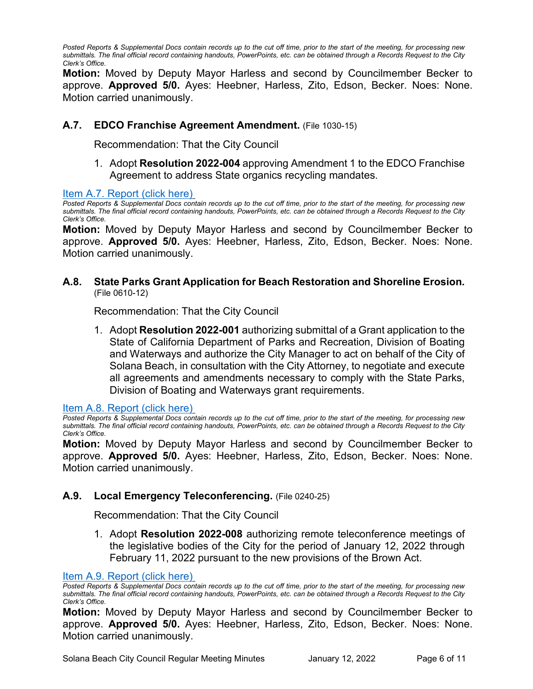*Posted Reports & Supplemental Docs contain records up to the cut off time, prior to the start of the meeting, for processing new submittals. The final official record containing handouts, PowerPoints, etc. can be obtained through a Records Request to the City Clerk's Office.*

**Motion:** Moved by Deputy Mayor Harless and second by Councilmember Becker to approve. **Approved 5/0.** Ayes: Heebner, Harless, Zito, Edson, Becker. Noes: None. Motion carried unanimously.

# **A.7. EDCO Franchise Agreement Amendment.** (File 1030-15)

Recommendation: That the City Council

1. Adopt **Resolution 2022-004** approving Amendment 1 to the EDCO Franchise Agreement to address State organics recycling mandates.

[Item A.7. Report \(click here\)](https://solanabeach.govoffice3.com/vertical/Sites/%7B840804C2-F869-4904-9AE3-720581350CE7%7D/uploads/Item_A.7._Report_(click_here)_01-12-22_-_O.pdf)

*Posted Reports & Supplemental Docs contain records up to the cut off time, prior to the start of the meeting, for processing new submittals. The final official record containing handouts, PowerPoints, etc. can be obtained through a Records Request to the City Clerk's Office.*

**Motion:** Moved by Deputy Mayor Harless and second by Councilmember Becker to approve. **Approved 5/0.** Ayes: Heebner, Harless, Zito, Edson, Becker. Noes: None. Motion carried unanimously.

#### **A.8. State Parks Grant Application for Beach Restoration and Shoreline Erosion.** (File 0610-12)

Recommendation: That the City Council

1. Adopt **Resolution 2022-001** authorizing submittal of a Grant application to the State of California Department of Parks and Recreation, Division of Boating and Waterways and authorize the City Manager to act on behalf of the City of Solana Beach, in consultation with the City Attorney, to negotiate and execute all agreements and amendments necessary to comply with the State Parks, Division of Boating and Waterways grant requirements.

[Item A.8. Report \(click here\)](https://solanabeach.govoffice3.com/vertical/Sites/%7B840804C2-F869-4904-9AE3-720581350CE7%7D/uploads/Item_A.8._Report_(click_here)_01-12-22_-_O.pdf)

*Posted Reports & Supplemental Docs contain records up to the cut off time, prior to the start of the meeting, for processing new submittals. The final official record containing handouts, PowerPoints, etc. can be obtained through a Records Request to the City Clerk's Office.*

**Motion:** Moved by Deputy Mayor Harless and second by Councilmember Becker to approve. **Approved 5/0.** Ayes: Heebner, Harless, Zito, Edson, Becker. Noes: None. Motion carried unanimously.

#### **A.9. Local Emergency Teleconferencing.** (File 0240-25)

Recommendation: That the City Council

1. Adopt **Resolution 2022-008** authorizing remote teleconference meetings of the legislative bodies of the City for the period of January 12, 2022 through February 11, 2022 pursuant to the new provisions of the Brown Act.

#### [Item A.9. Report \(click here\)](https://solanabeach.govoffice3.com/vertical/Sites/%7B840804C2-F869-4904-9AE3-720581350CE7%7D/uploads/Item_A.9._Report_(click_here)_01-12-22_-_O.pdf)

*Posted Reports & Supplemental Docs contain records up to the cut off time, prior to the start of the meeting, for processing new submittals. The final official record containing handouts, PowerPoints, etc. can be obtained through a Records Request to the City Clerk's Office.*

**Motion:** Moved by Deputy Mayor Harless and second by Councilmember Becker to approve. **Approved 5/0.** Ayes: Heebner, Harless, Zito, Edson, Becker. Noes: None. Motion carried unanimously.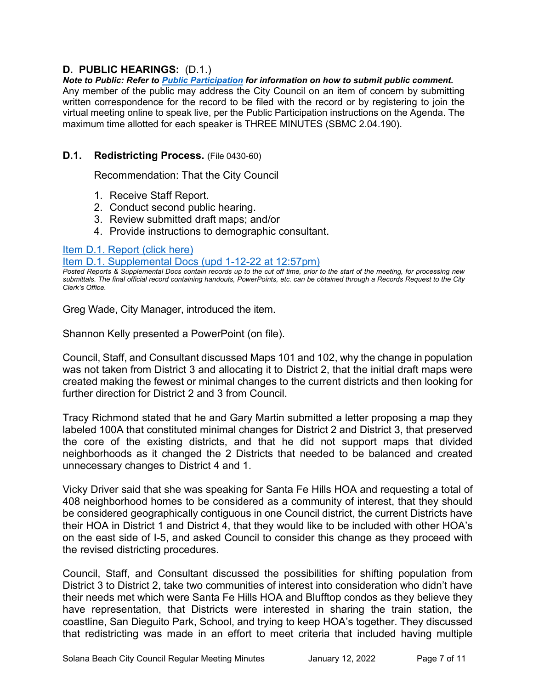# **D. PUBLIC HEARINGS:** (D.1.)

*Note to Public: Refer to Public Participation for information on how to submit public comment.*  Any member of the public may address the City Council on an item of concern by submitting written correspondence for the record to be filed with the record or by registering to join the virtual meeting online to speak live, per the Public Participation instructions on the Agenda. The maximum time allotted for each speaker is THREE MINUTES (SBMC 2.04.190).

### **D.1. Redistricting Process.** (File 0430-60)

Recommendation: That the City Council

- 1. Receive Staff Report.
- 2. Conduct second public hearing.
- 3. Review submitted draft maps; and/or
- 4. Provide instructions to demographic consultant.

#### [Item D.1. Report \(click here\)](https://solanabeach.govoffice3.com/vertical/Sites/%7B840804C2-F869-4904-9AE3-720581350CE7%7D/uploads/Item_D.1._Report_(click_here)_01-12-22_-_O.pdf)

[Item D.1. Supplemental Docs \(upd 1-12-22](https://solanabeach.govoffice3.com/vertical/Sites/%7B840804C2-F869-4904-9AE3-720581350CE7%7D/uploads/Item_D.1._Supplemental_Docs_(upd_1-12_at_1257pm).pdf) at 12:57pm)

*Posted Reports & Supplemental Docs contain records up to the cut off time, prior to the start of the meeting, for processing new submittals. The final official record containing handouts, PowerPoints, etc. can be obtained through a Records Request to the City Clerk's Office.*

Greg Wade, City Manager, introduced the item.

Shannon Kelly presented a PowerPoint (on file).

Council, Staff, and Consultant discussed Maps 101 and 102, why the change in population was not taken from District 3 and allocating it to District 2, that the initial draft maps were created making the fewest or minimal changes to the current districts and then looking for further direction for District 2 and 3 from Council.

Tracy Richmond stated that he and Gary Martin submitted a letter proposing a map they labeled 100A that constituted minimal changes for District 2 and District 3, that preserved the core of the existing districts, and that he did not support maps that divided neighborhoods as it changed the 2 Districts that needed to be balanced and created unnecessary changes to District 4 and 1.

Vicky Driver said that she was speaking for Santa Fe Hills HOA and requesting a total of 408 neighborhood homes to be considered as a community of interest, that they should be considered geographically contiguous in one Council district, the current Districts have their HOA in District 1 and District 4, that they would like to be included with other HOA's on the east side of I-5, and asked Council to consider this change as they proceed with the revised districting procedures.

Council, Staff, and Consultant discussed the possibilities for shifting population from District 3 to District 2, take two communities of interest into consideration who didn't have their needs met which were Santa Fe Hills HOA and Blufftop condos as they believe they have representation, that Districts were interested in sharing the train station, the coastline, San Dieguito Park, School, and trying to keep HOA's together. They discussed that redistricting was made in an effort to meet criteria that included having multiple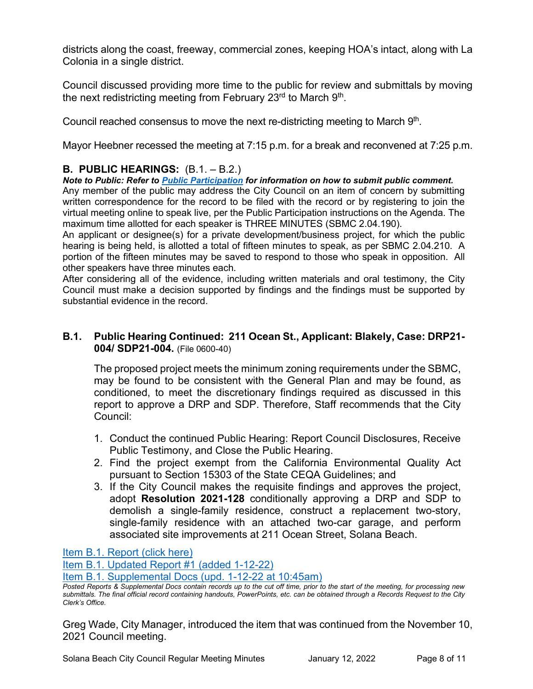districts along the coast, freeway, commercial zones, keeping HOA's intact, along with La Colonia in a single district.

Council discussed providing more time to the public for review and submittals by moving the next redistricting meeting from February  $23<sup>rd</sup>$  to March  $9<sup>th</sup>$ .

Council reached consensus to move the next re-districting meeting to March 9th.

Mayor Heebner recessed the meeting at 7:15 p.m. for a break and reconvened at 7:25 p.m.

# **B. PUBLIC HEARINGS:** (B.1. – B.2.)

*Note to Public: Refer to Public Participation for information on how to submit public comment.* 

Any member of the public may address the City Council on an item of concern by submitting written correspondence for the record to be filed with the record or by registering to join the virtual meeting online to speak live, per the Public Participation instructions on the Agenda. The maximum time allotted for each speaker is THREE MINUTES (SBMC 2.04.190).

An applicant or designee(s) for a private development/business project, for which the public hearing is being held, is allotted a total of fifteen minutes to speak, as per SBMC 2.04.210. A portion of the fifteen minutes may be saved to respond to those who speak in opposition. All other speakers have three minutes each.

After considering all of the evidence, including written materials and oral testimony, the City Council must make a decision supported by findings and the findings must be supported by substantial evidence in the record.

# **B.1. Public Hearing Continued: 211 Ocean St., Applicant: Blakely, Case: DRP21- 004/ SDP21-004.** (File 0600-40)

The proposed project meets the minimum zoning requirements under the SBMC, may be found to be consistent with the General Plan and may be found, as conditioned, to meet the discretionary findings required as discussed in this report to approve a DRP and SDP. Therefore, Staff recommends that the City Council:

- 1. Conduct the continued Public Hearing: Report Council Disclosures, Receive Public Testimony, and Close the Public Hearing.
- 2. Find the project exempt from the California Environmental Quality Act pursuant to Section 15303 of the State CEQA Guidelines; and
- 3. If the City Council makes the requisite findings and approves the project, adopt **Resolution 2021-128** conditionally approving a DRP and SDP to demolish a single-family residence, construct a replacement two-story, single-family residence with an attached two-car garage, and perform [associated site improvements at 211 Ocean Street, Solana Beach.](https://solanabeach.govoffice3.com/vertical/Sites/%7B840804C2-F869-4904-9AE3-720581350CE7%7D/uploads/Item_B.1._Report_(click_here)_01-12-22_-_O.pdf)

Item [B.1. Report \(click here\)](https://solanabeach.govoffice3.com/vertical/Sites/%7B840804C2-F869-4904-9AE3-720581350CE7%7D/uploads/Item_B.1._Report_(click_here)_01-12-22_-_O.pdf)

[Item B.1. Updated Report #1 \(added 1-12-22\)](https://solanabeach.govoffice3.com/vertical/Sites/%7B840804C2-F869-4904-9AE3-720581350CE7%7D/uploads/Item_B.1._Updated_Report_1_-_1-12-22_(845am).pdf)

[Item B.1. Supplemental Docs \(upd.](https://solanabeach.govoffice3.com/vertical/Sites/%7B840804C2-F869-4904-9AE3-720581350CE7%7D/uploads/Item_B.1.Supplemental_Docs_(upd_1-12_at_1045am)_-_O.pdf) 1-12-22 at 10:45am)

Greg Wade, City Manager, introduced the item that was continued from the November 10, 2021 Council meeting.

*Posted Reports & Supplemental Docs contain records up to the cut off time, prior to the start of the meeting, for processing new submittals. The final official record containing handouts, PowerPoints, etc. can be obtained through a Records Request to the City Clerk's Office.*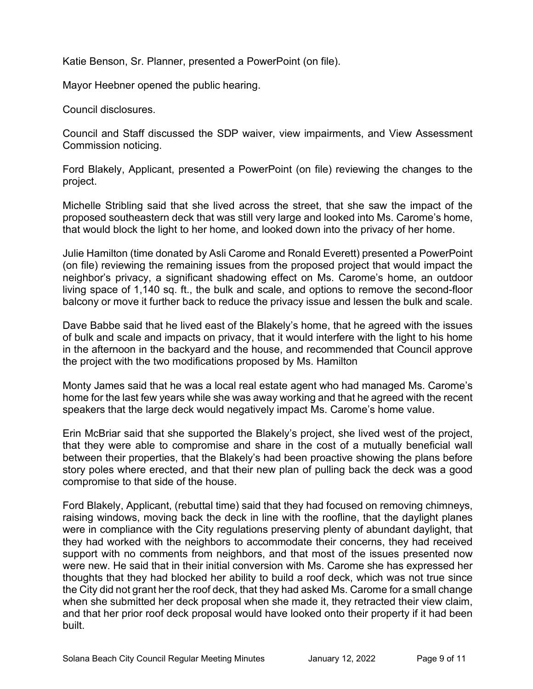Katie Benson, Sr. Planner, presented a PowerPoint (on file).

Mayor Heebner opened the public hearing.

Council disclosures.

Council and Staff discussed the SDP waiver, view impairments, and View Assessment Commission noticing.

Ford Blakely, Applicant, presented a PowerPoint (on file) reviewing the changes to the project.

Michelle Stribling said that she lived across the street, that she saw the impact of the proposed southeastern deck that was still very large and looked into Ms. Carome's home, that would block the light to her home, and looked down into the privacy of her home.

Julie Hamilton (time donated by Asli Carome and Ronald Everett) presented a PowerPoint (on file) reviewing the remaining issues from the proposed project that would impact the neighbor's privacy, a significant shadowing effect on Ms. Carome's home, an outdoor living space of 1,140 sq. ft., the bulk and scale, and options to remove the second-floor balcony or move it further back to reduce the privacy issue and lessen the bulk and scale.

Dave Babbe said that he lived east of the Blakely's home, that he agreed with the issues of bulk and scale and impacts on privacy, that it would interfere with the light to his home in the afternoon in the backyard and the house, and recommended that Council approve the project with the two modifications proposed by Ms. Hamilton

Monty James said that he was a local real estate agent who had managed Ms. Carome's home for the last few years while she was away working and that he agreed with the recent speakers that the large deck would negatively impact Ms. Carome's home value.

Erin McBriar said that she supported the Blakely's project, she lived west of the project, that they were able to compromise and share in the cost of a mutually beneficial wall between their properties, that the Blakely's had been proactive showing the plans before story poles where erected, and that their new plan of pulling back the deck was a good compromise to that side of the house.

Ford Blakely, Applicant, (rebuttal time) said that they had focused on removing chimneys, raising windows, moving back the deck in line with the roofline, that the daylight planes were in compliance with the City regulations preserving plenty of abundant daylight, that they had worked with the neighbors to accommodate their concerns, they had received support with no comments from neighbors, and that most of the issues presented now were new. He said that in their initial conversion with Ms. Carome she has expressed her thoughts that they had blocked her ability to build a roof deck, which was not true since the City did not grant her the roof deck, that they had asked Ms. Carome for a small change when she submitted her deck proposal when she made it, they retracted their view claim, and that her prior roof deck proposal would have looked onto their property if it had been built.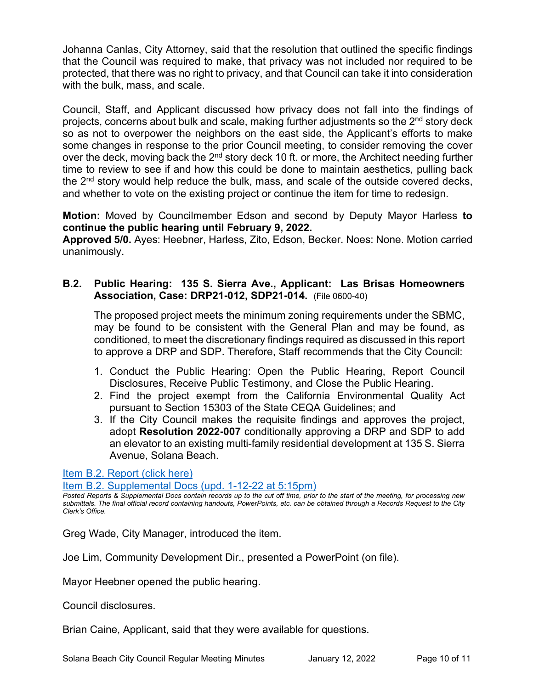Johanna Canlas, City Attorney, said that the resolution that outlined the specific findings that the Council was required to make, that privacy was not included nor required to be protected, that there was no right to privacy, and that Council can take it into consideration with the bulk, mass, and scale.

Council, Staff, and Applicant discussed how privacy does not fall into the findings of projects, concerns about bulk and scale, making further adjustments so the 2<sup>nd</sup> story deck so as not to overpower the neighbors on the east side, the Applicant's efforts to make some changes in response to the prior Council meeting, to consider removing the cover over the deck, moving back the 2<sup>nd</sup> story deck 10 ft. or more, the Architect needing further time to review to see if and how this could be done to maintain aesthetics, pulling back the 2<sup>nd</sup> story would help reduce the bulk, mass, and scale of the outside covered decks, and whether to vote on the existing project or continue the item for time to redesign.

**Motion:** Moved by Councilmember Edson and second by Deputy Mayor Harless **to continue the public hearing until February 9, 2022.**

**Approved 5/0.** Ayes: Heebner, Harless, Zito, Edson, Becker. Noes: None. Motion carried unanimously.

# **B.2. Public Hearing: 135 S. Sierra Ave., Applicant: Las Brisas Homeowners Association, Case: DRP21-012, SDP21-014.** (File 0600-40)

The proposed project meets the minimum zoning requirements under the SBMC, may be found to be consistent with the General Plan and may be found, as conditioned, to meet the discretionary findings required as discussed in this report to approve a DRP and SDP. Therefore, Staff recommends that the City Council:

- 1. Conduct the Public Hearing: Open the Public Hearing, Report Council Disclosures, Receive Public Testimony, and Close the Public Hearing.
- 2. Find the project exempt from the California Environmental Quality Act pursuant to Section 15303 of the State CEQA Guidelines; and
- 3. If the City Council makes the requisite findings and approves the project, adopt **Resolution 2022-007** conditionally approving a DRP and SDP to add an elevator to an existing multi-family residential development at 135 S. Sierra Ave[nue, Solana Beach.](https://solanabeach.govoffice3.com/vertical/Sites/%7B840804C2-F869-4904-9AE3-720581350CE7%7D/uploads/Item_B.2._Report_(click_here)_01-12-22_-_O.pdf)

[Item B.2. Report \(click here\)](https://solanabeach.govoffice3.com/vertical/Sites/%7B840804C2-F869-4904-9AE3-720581350CE7%7D/uploads/Item_B.2._Report_(click_here)_01-12-22_-_O.pdf)

[Item B.2. Supplemental Docs \(upd.](https://solanabeach.govoffice3.com/vertical/Sites/%7B840804C2-F869-4904-9AE3-720581350CE7%7D/uploads/Item_B.2._Supplemental_Docs_(upd._1-12-22_515pm)_-_O.pdf) 1-12-22 at 5:15pm)

*Posted Reports & Supplemental Docs contain records up to the cut off time, prior to the start of the meeting, for processing new submittals. The final official record containing handouts, PowerPoints, etc. can be obtained through a Records Request to the City Clerk's Office.*

Greg Wade, City Manager, introduced the item.

Joe Lim, Community Development Dir., presented a PowerPoint (on file).

Mayor Heebner opened the public hearing.

Council disclosures.

Brian Caine, Applicant, said that they were available for questions.

Solana Beach City Council Regular Meeting Minutes January 12, 2022 Page 10 of 11